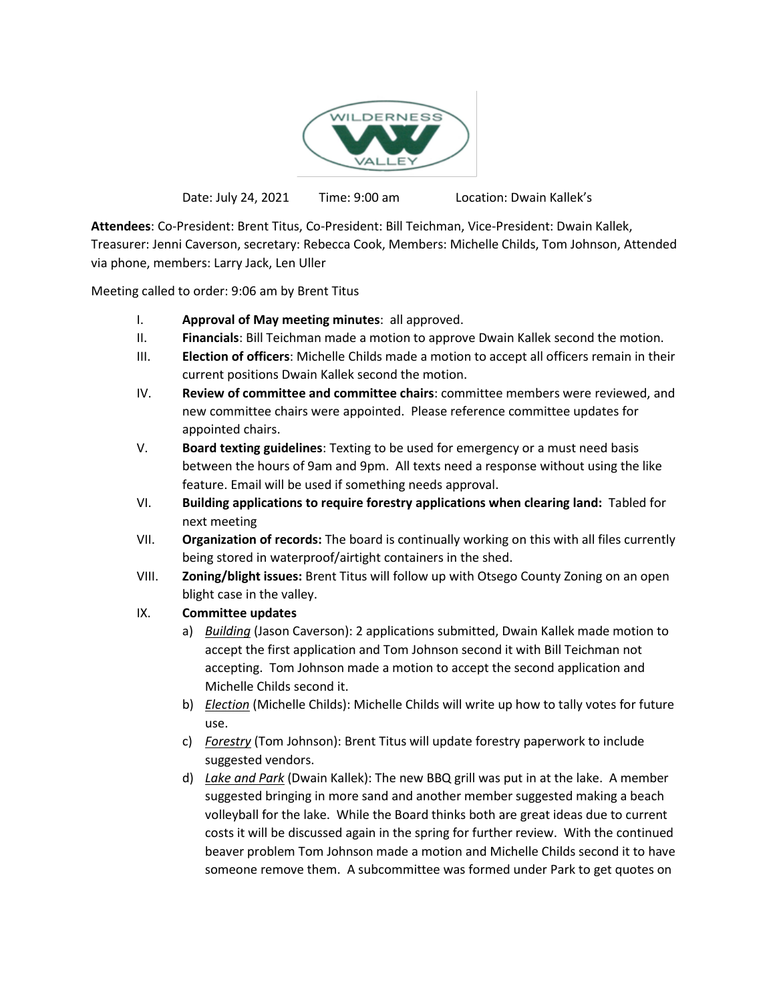

Date: July 24, 2021 Time: 9:00 am Location: Dwain Kallek's

**Attendees**: Co-President: Brent Titus, Co-President: Bill Teichman, Vice-President: Dwain Kallek, Treasurer: Jenni Caverson, secretary: Rebecca Cook, Members: Michelle Childs, Tom Johnson, Attended via phone, members: Larry Jack, Len Uller

Meeting called to order: 9:06 am by Brent Titus

- I. **Approval of May meeting minutes**: all approved.
- II. **Financials**: Bill Teichman made a motion to approve Dwain Kallek second the motion.
- III. **Election of officers**: Michelle Childs made a motion to accept all officers remain in their current positions Dwain Kallek second the motion.
- IV. **Review of committee and committee chairs**: committee members were reviewed, and new committee chairs were appointed. Please reference committee updates for appointed chairs.
- V. **Board texting guidelines**: Texting to be used for emergency or a must need basis between the hours of 9am and 9pm. All texts need a response without using the like feature. Email will be used if something needs approval.
- VI. **Building applications to require forestry applications when clearing land:** Tabled for next meeting
- VII. **Organization of records:** The board is continually working on this with all files currently being stored in waterproof/airtight containers in the shed.
- VIII. **Zoning/blight issues:** Brent Titus will follow up with Otsego County Zoning on an open blight case in the valley.

## IX. **Committee updates**

- a) *Building* (Jason Caverson): 2 applications submitted, Dwain Kallek made motion to accept the first application and Tom Johnson second it with Bill Teichman not accepting. Tom Johnson made a motion to accept the second application and Michelle Childs second it.
- b) *Election* (Michelle Childs): Michelle Childs will write up how to tally votes for future use.
- c) *Forestry* (Tom Johnson): Brent Titus will update forestry paperwork to include suggested vendors.
- d) *Lake and Park* (Dwain Kallek): The new BBQ grill was put in at the lake. A member suggested bringing in more sand and another member suggested making a beach volleyball for the lake. While the Board thinks both are great ideas due to current costs it will be discussed again in the spring for further review. With the continued beaver problem Tom Johnson made a motion and Michelle Childs second it to have someone remove them. A subcommittee was formed under Park to get quotes on